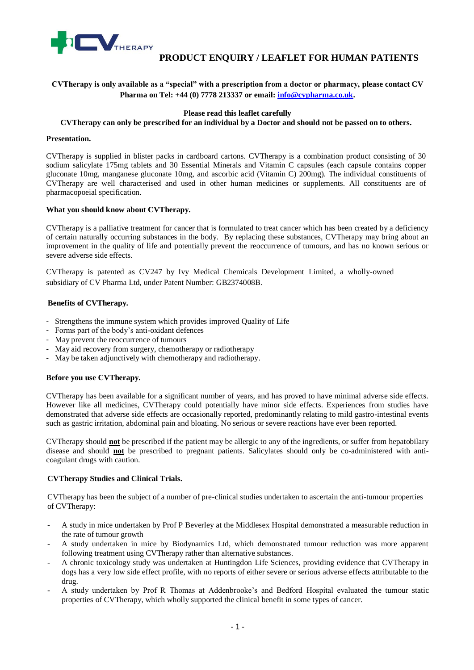

# **PRODUCT ENQUIRY / LEAFLET FOR HUMAN PATIENTS**

# **CVTherapy is only available as a "special" with a prescription from a doctor or pharmacy, please contact CV Pharma on Tel: +44 (0) 7778 213337 or email[: info@cvpharma.co.uk.](mailto:info@cvpharma.co.uk)**

# **Please read this leaflet carefully**

### **CVTherapy can only be prescribed for an individual by a Doctor and should not be passed on to others.**

#### **Presentation.**

CVTherapy is supplied in blister packs in cardboard cartons. CVTherapy is a combination product consisting of 30 sodium salicylate 175mg tablets and 30 Essential Minerals and Vitamin C capsules (each capsule contains copper gluconate 10mg, manganese gluconate 10mg, and ascorbic acid (Vitamin C) 200mg). The individual constituents of CVTherapy are well characterised and used in other human medicines or supplements. All constituents are of pharmacopoeial specification.

#### **What you should know about CVTherapy.**

CVTherapy is a palliative treatment for cancer that is formulated to treat cancer which has been created by a deficiency of certain naturally occurring substances in the body. By replacing these substances, CVTherapy may bring about an improvement in the quality of life and potentially prevent the reoccurrence of tumours, and has no known serious or severe adverse side effects.

CVTherapy is patented as CV247 by Ivy Medical Chemicals Development Limited, a wholly-owned subsidiary of CV Pharma Ltd, under Patent Number: GB2374008B.

# **Benefits of CVTherapy.**

- Strengthens the immune system which provides improved Quality of Life
- Forms part of the body's anti-oxidant defences
- May prevent the reoccurrence of tumours
- May aid recovery from surgery, chemotherapy or radiotherapy
- May be taken adjunctively with chemotherapy and radiotherapy.

#### **Before you use CVTherapy.**

CVTherapy has been available for a significant number of years, and has proved to have minimal adverse side effects. However like all medicines, CVTherapy could potentially have minor side effects. Experiences from studies have demonstrated that adverse side effects are occasionally reported, predominantly relating to mild gastro-intestinal events such as gastric irritation, abdominal pain and bloating. No serious or severe reactions have ever been reported.

CVTherapy should **not** be prescribed if the patient may be allergic to any of the ingredients, or suffer from hepatobilary disease and should **not** be prescribed to pregnant patients. Salicylates should only be co-administered with anticoagulant drugs with caution.

#### **CVTherapy Studies and Clinical Trials.**

CVTherapy has been the subject of a number of pre-clinical studies undertaken to ascertain the anti-tumour properties of CVTherapy:

- A study in mice undertaken by Prof P Beverley at the Middlesex Hospital demonstrated a measurable reduction in the rate of tumour growth
- A study undertaken in mice by Biodynamics Ltd, which demonstrated tumour reduction was more apparent following treatment using CVTherapy rather than alternative substances.
- A chronic toxicology study was undertaken at Huntingdon Life Sciences, providing evidence that CVTherapy in dogs has a very low side effect profile, with no reports of either severe or serious adverse effects attributable to the drug.
- A study undertaken by Prof R Thomas at Addenbrooke's and Bedford Hospital evaluated the tumour static properties of CVTherapy, which wholly supported the clinical benefit in some types of cancer.